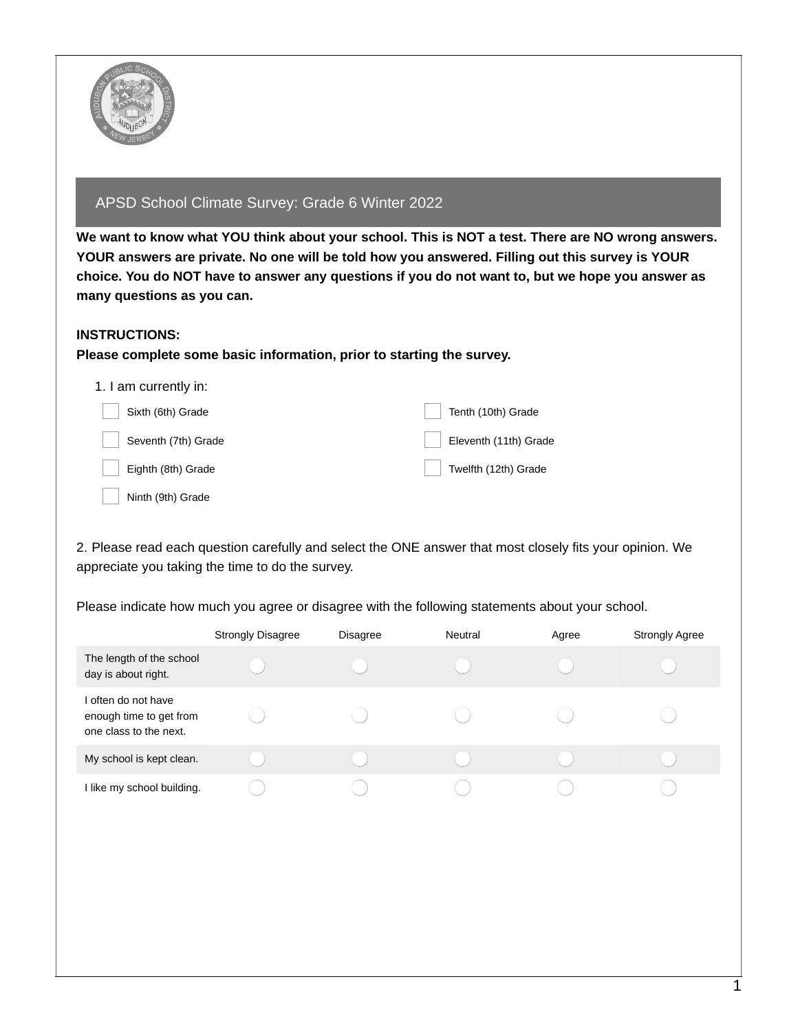

## APSD School Climate Survey: Grade 6 Winter 2022

We want to know what YOU think about your school. This is NOT a test. There are NO wrong answers. **YOUR answers are private. No one will be told how you answered. Filling out this survey is YOUR** choice. You do NOT have to answer any questions if you do not want to, but we hope you answer as **many questions as you can.**

## **INSTRUCTIONS:**

## **Please complete some basic information, prior to starting the survey.**

| 1. I am currently in: |                       |
|-----------------------|-----------------------|
| Sixth (6th) Grade     | Tenth (10th) Grade    |
| Seventh (7th) Grade   | Eleventh (11th) Grade |
| Eighth (8th) Grade    | Twelfth (12th) Grade  |
| Ninth (9th) Grade     |                       |

2. Please read each question carefully and select the ONE answer that most closely fits your opinion. We appreciate you taking the time to do the survey.

|                                                                          | <b>Strongly Disagree</b> | <b>Disagree</b> | Neutral | Agree | <b>Strongly Agree</b> |
|--------------------------------------------------------------------------|--------------------------|-----------------|---------|-------|-----------------------|
| The length of the school<br>day is about right.                          |                          |                 |         |       |                       |
| I often do not have<br>enough time to get from<br>one class to the next. |                          |                 |         |       |                       |
| My school is kept clean.                                                 |                          |                 |         |       |                       |
| I like my school building.                                               |                          |                 |         |       |                       |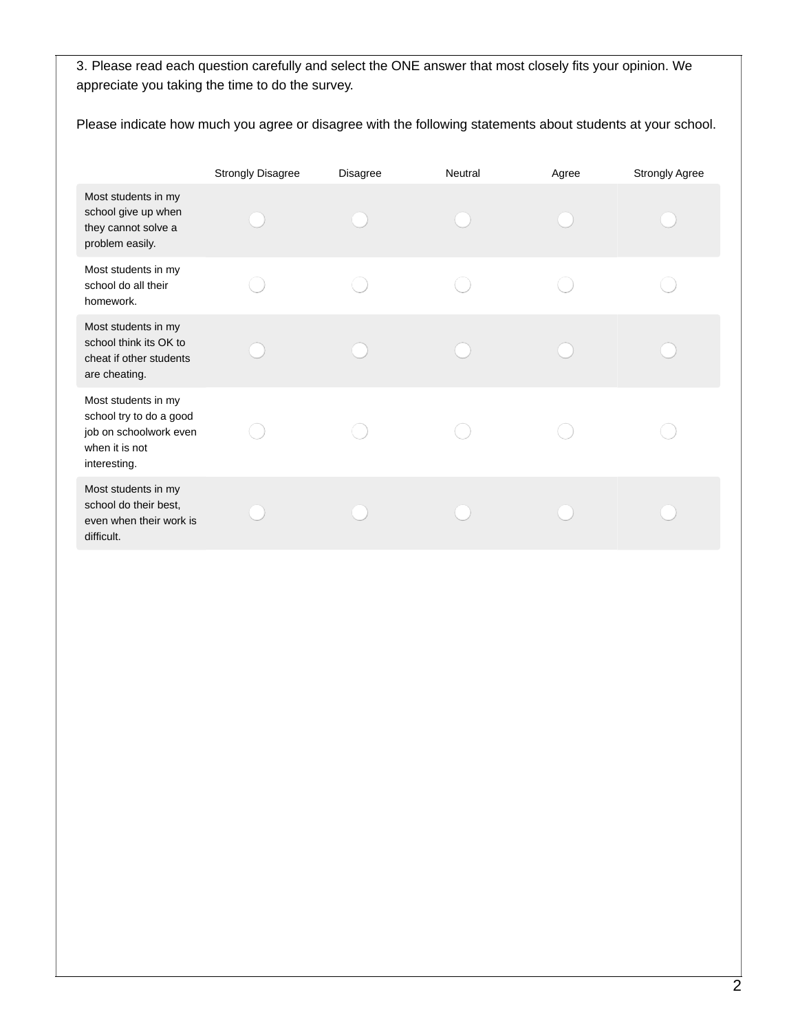|                                                                                                            | <b>Strongly Disagree</b> | <b>Disagree</b> | Neutral | Agree | <b>Strongly Agree</b> |
|------------------------------------------------------------------------------------------------------------|--------------------------|-----------------|---------|-------|-----------------------|
| Most students in my<br>school give up when<br>they cannot solve a<br>problem easily.                       |                          |                 |         |       |                       |
| Most students in my<br>school do all their<br>homework.                                                    |                          |                 |         |       |                       |
| Most students in my<br>school think its OK to<br>cheat if other students<br>are cheating.                  |                          |                 |         |       |                       |
| Most students in my<br>school try to do a good<br>job on schoolwork even<br>when it is not<br>interesting. |                          |                 |         |       |                       |
| Most students in my<br>school do their best,<br>even when their work is<br>difficult.                      |                          |                 |         |       |                       |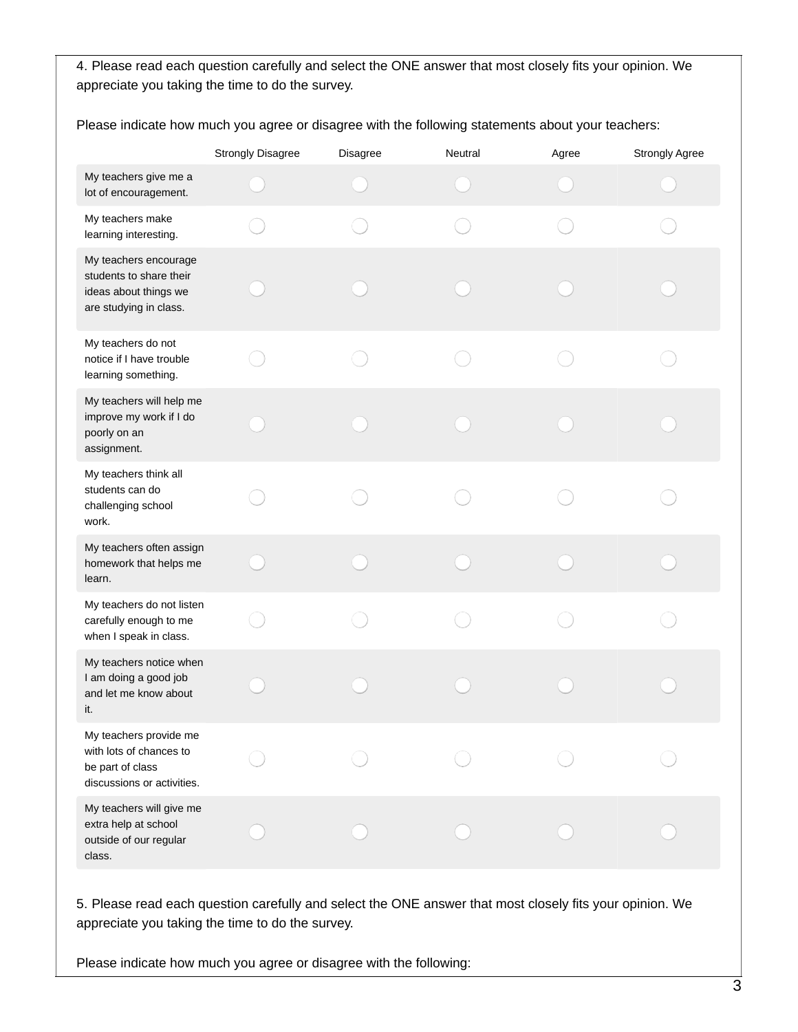Please indicate how much you agree or disagree with the following statements about your teachers:

|                                                                                                     | <b>Strongly Disagree</b> | Disagree | Neutral | Agree | Strongly Agree |
|-----------------------------------------------------------------------------------------------------|--------------------------|----------|---------|-------|----------------|
| My teachers give me a<br>lot of encouragement.                                                      |                          |          |         |       |                |
| My teachers make<br>learning interesting.                                                           |                          |          |         |       |                |
| My teachers encourage<br>students to share their<br>ideas about things we<br>are studying in class. |                          |          |         |       |                |
| My teachers do not<br>notice if I have trouble<br>learning something.                               |                          |          |         |       |                |
| My teachers will help me<br>improve my work if I do<br>poorly on an<br>assignment.                  |                          |          |         |       |                |
| My teachers think all<br>students can do<br>challenging school<br>work.                             |                          |          |         |       |                |
| My teachers often assign<br>homework that helps me<br>learn.                                        |                          |          |         |       |                |
| My teachers do not listen<br>carefully enough to me<br>when I speak in class.                       |                          |          |         |       |                |
| My teachers notice when<br>I am doing a good job<br>and let me know about<br>it.                    |                          |          |         |       |                |
| My teachers provide me<br>with lots of chances to<br>be part of class<br>discussions or activities. |                          |          |         |       |                |
| My teachers will give me<br>extra help at school<br>outside of our regular<br>class.                |                          |          |         |       |                |

5. Please read each question carefully and select the ONE answer that most closely fits your opinion. We appreciate you taking the time to do the survey.

Please indicate how much you agree or disagree with the following: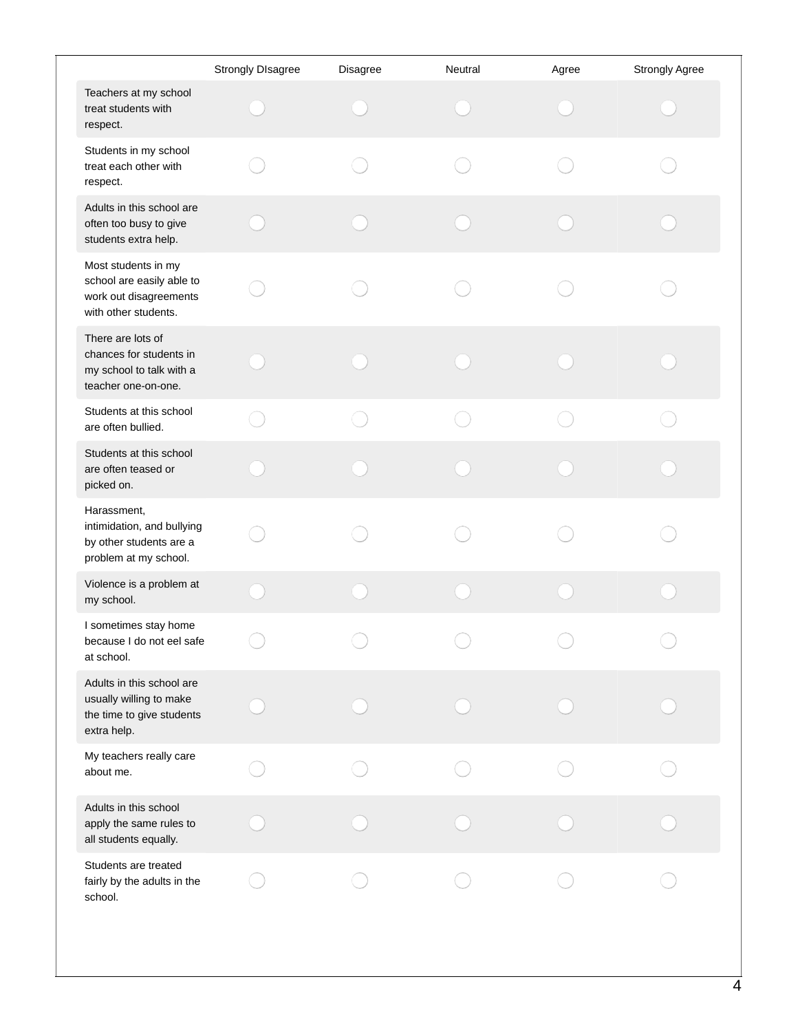|                                                                                                    | <b>Strongly DIsagree</b> | Disagree | Neutral | Agree | Strongly Agree |
|----------------------------------------------------------------------------------------------------|--------------------------|----------|---------|-------|----------------|
| Teachers at my school<br>treat students with<br>respect.                                           |                          |          |         |       |                |
| Students in my school<br>treat each other with<br>respect.                                         |                          |          |         |       |                |
| Adults in this school are<br>often too busy to give<br>students extra help.                        |                          |          |         |       |                |
| Most students in my<br>school are easily able to<br>work out disagreements<br>with other students. |                          |          |         |       |                |
| There are lots of<br>chances for students in<br>my school to talk with a<br>teacher one-on-one.    |                          |          |         |       |                |
| Students at this school<br>are often bullied.                                                      |                          |          |         |       |                |
| Students at this school<br>are often teased or<br>picked on.                                       |                          |          |         |       |                |
| Harassment,<br>intimidation, and bullying<br>by other students are a<br>problem at my school.      |                          |          |         |       |                |
| Violence is a problem at<br>my school.                                                             |                          |          |         |       |                |
| I sometimes stay home<br>because I do not eel safe<br>at school.                                   |                          |          |         |       |                |
| Adults in this school are<br>usually willing to make<br>the time to give students<br>extra help.   |                          |          |         |       |                |
| My teachers really care<br>about me.                                                               |                          |          |         |       |                |
| Adults in this school<br>apply the same rules to<br>all students equally.                          |                          |          |         |       |                |
| Students are treated<br>fairly by the adults in the<br>school.                                     |                          |          |         |       |                |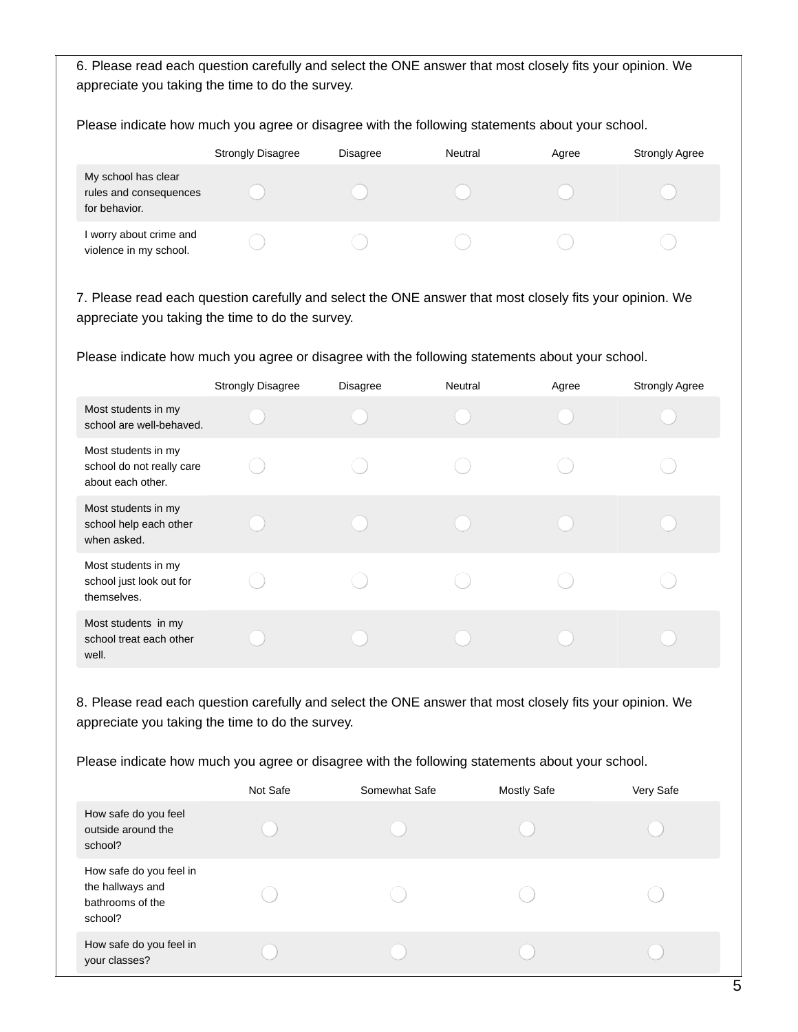Please indicate how much you agree or disagree with the following statements about your school.

|                                                                | <b>Strongly Disagree</b> | <b>Disagree</b> | Neutral | Agree | <b>Strongly Agree</b> |
|----------------------------------------------------------------|--------------------------|-----------------|---------|-------|-----------------------|
| My school has clear<br>rules and consequences<br>for behavior. |                          |                 |         |       |                       |
| I worry about crime and<br>violence in my school.              |                          |                 |         |       |                       |

7. Please read each question carefully and select the ONE answer that most closely fits your opinion. We appreciate you taking the time to do the survey.

Please indicate how much you agree or disagree with the following statements about your school.

|                                                                       | <b>Strongly Disagree</b> | <b>Disagree</b> | Neutral | Agree | <b>Strongly Agree</b> |
|-----------------------------------------------------------------------|--------------------------|-----------------|---------|-------|-----------------------|
| Most students in my<br>school are well-behaved.                       |                          |                 |         |       |                       |
| Most students in my<br>school do not really care<br>about each other. |                          |                 |         |       |                       |
| Most students in my<br>school help each other<br>when asked.          |                          |                 |         |       |                       |
| Most students in my<br>school just look out for<br>themselves.        |                          |                 |         |       |                       |
| Most students in my<br>school treat each other<br>well.               |                          |                 |         |       |                       |

8. Please read each question carefully and select the ONE answer that most closely fits your opinion. We appreciate you taking the time to do the survey.

|                                                                            | Not Safe | Somewhat Safe | <b>Mostly Safe</b> | Very Safe |
|----------------------------------------------------------------------------|----------|---------------|--------------------|-----------|
| How safe do you feel<br>outside around the<br>school?                      |          |               |                    |           |
| How safe do you feel in<br>the hallways and<br>bathrooms of the<br>school? |          |               |                    |           |
| How safe do you feel in<br>your classes?                                   |          |               |                    |           |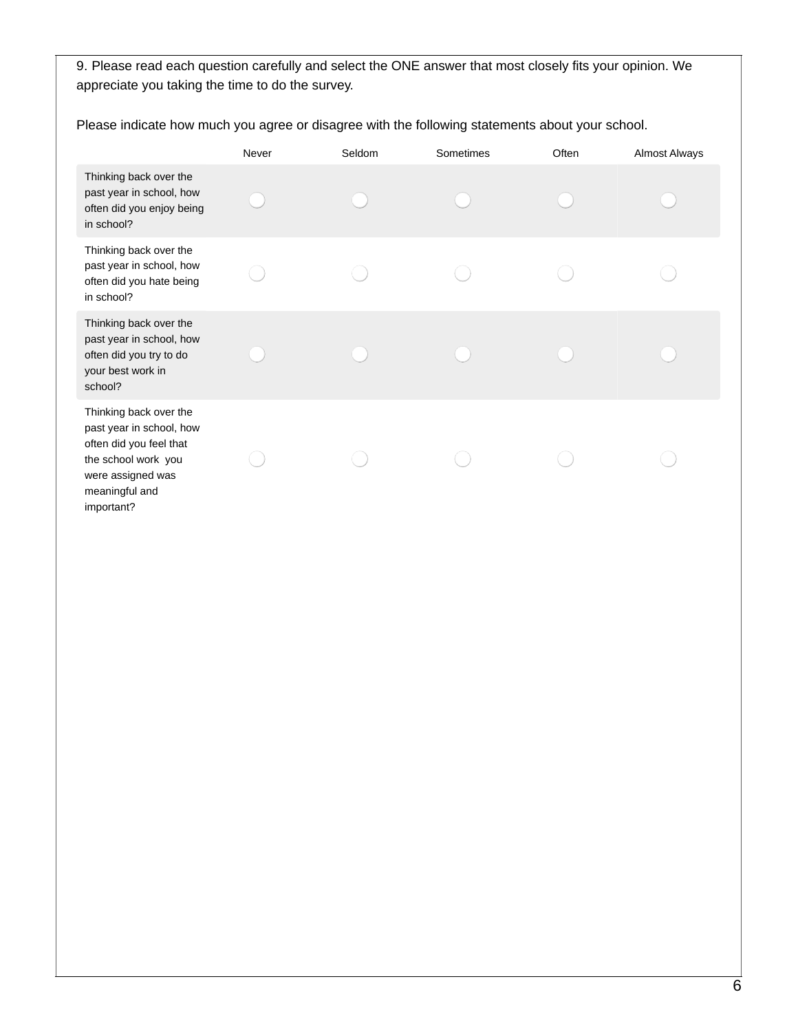|                                                                                                                                                           | Never | Seldom | Sometimes | Often | <b>Almost Always</b> |
|-----------------------------------------------------------------------------------------------------------------------------------------------------------|-------|--------|-----------|-------|----------------------|
| Thinking back over the<br>past year in school, how<br>often did you enjoy being<br>in school?                                                             |       |        |           |       |                      |
| Thinking back over the<br>past year in school, how<br>often did you hate being<br>in school?                                                              |       |        |           |       |                      |
| Thinking back over the<br>past year in school, how<br>often did you try to do<br>your best work in<br>school?                                             |       |        |           |       |                      |
| Thinking back over the<br>past year in school, how<br>often did you feel that<br>the school work you<br>were assigned was<br>meaningful and<br>important? |       |        |           |       |                      |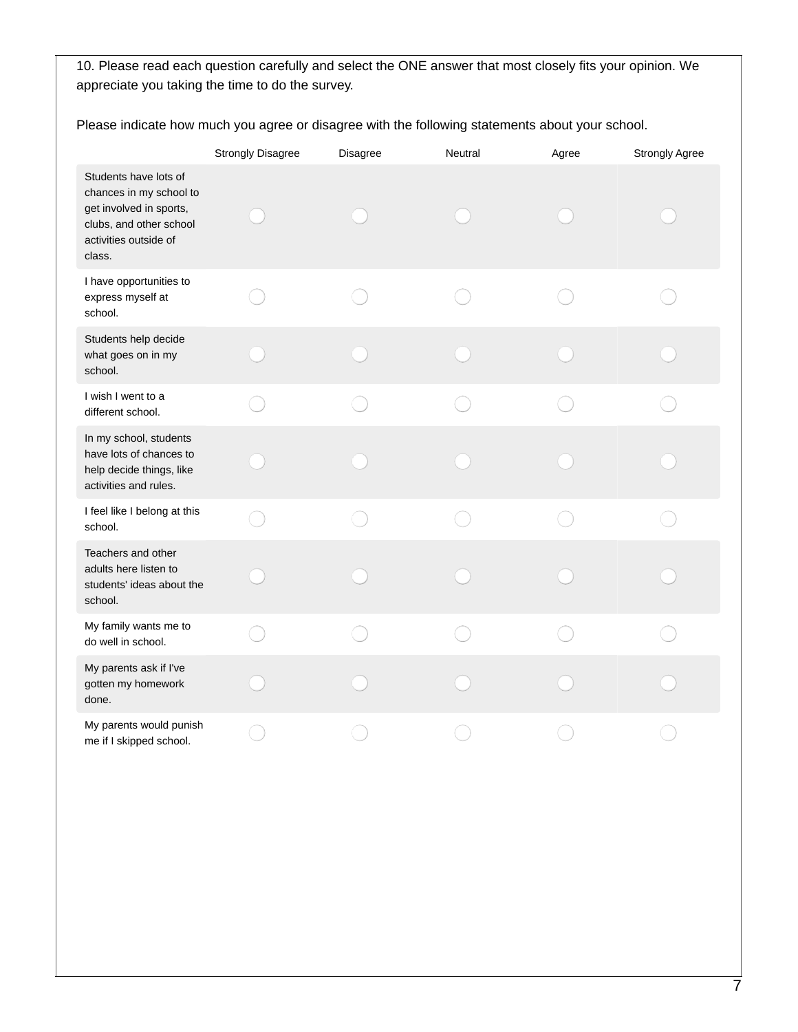|                                                                                                                                           | <b>Strongly Disagree</b> | Disagree | Neutral | Agree | Strongly Agree |
|-------------------------------------------------------------------------------------------------------------------------------------------|--------------------------|----------|---------|-------|----------------|
| Students have lots of<br>chances in my school to<br>get involved in sports,<br>clubs, and other school<br>activities outside of<br>class. |                          |          |         |       |                |
| I have opportunities to<br>express myself at<br>school.                                                                                   |                          |          |         |       |                |
| Students help decide<br>what goes on in my<br>school.                                                                                     |                          |          |         |       |                |
| I wish I went to a<br>different school.                                                                                                   |                          |          |         |       |                |
| In my school, students<br>have lots of chances to<br>help decide things, like<br>activities and rules.                                    |                          |          |         |       |                |
| I feel like I belong at this<br>school.                                                                                                   |                          |          |         |       |                |
| Teachers and other<br>adults here listen to<br>students' ideas about the<br>school.                                                       |                          |          |         |       |                |
| My family wants me to<br>do well in school.                                                                                               |                          |          |         |       |                |
| My parents ask if I've<br>gotten my homework<br>done.                                                                                     |                          |          |         |       |                |
| My parents would punish<br>me if I skipped school.                                                                                        |                          |          |         |       |                |